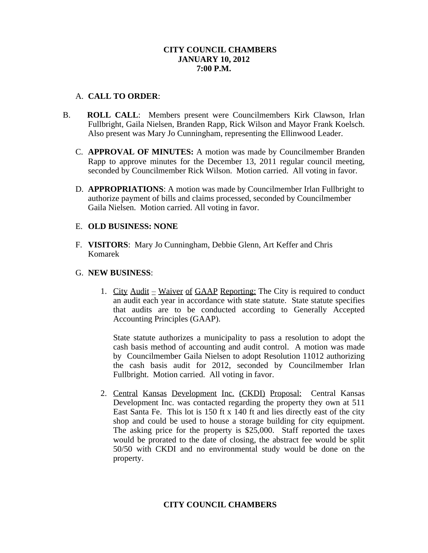# **CITY COUNCIL CHAMBERS JANUARY 10, 2012 7:00 P.M.**

# A. **CALL TO ORDER**:

- B. **ROLL CALL**: Members present were Councilmembers Kirk Clawson, Irlan Fullbright, Gaila Nielsen, Branden Rapp, Rick Wilson and Mayor Frank Koelsch. Also present was Mary Jo Cunningham, representing the Ellinwood Leader.
	- C. **APPROVAL OF MINUTES:** A motion was made by Councilmember Branden Rapp to approve minutes for the December 13, 2011 regular council meeting, seconded by Councilmember Rick Wilson. Motion carried. All voting in favor.
	- D. **APPROPRIATIONS**: A motion was made by Councilmember Irlan Fullbright to authorize payment of bills and claims processed, seconded by Councilmember Gaila Nielsen. Motion carried. All voting in favor.

# E. **OLD BUSINESS: NONE**

F. **VISITORS**: Mary Jo Cunningham, Debbie Glenn, Art Keffer and Chris Komarek

# G. **NEW BUSINESS**:

1. City  $\text{Audit} = \text{Wavier of GAAP Reporting:}$  The City is required to conduct an audit each year in accordance with state statute. State statute specifies that audits are to be conducted according to Generally Accepted Accounting Principles (GAAP).

State statute authorizes a municipality to pass a resolution to adopt the cash basis method of accounting and audit control. A motion was made by Councilmember Gaila Nielsen to adopt Resolution 11012 authorizing the cash basis audit for 2012, seconded by Councilmember Irlan Fullbright. Motion carried. All voting in favor.

2. Central Kansas Development Inc. (CKDI) Proposal: Central Kansas Development Inc. was contacted regarding the property they own at 511 East Santa Fe. This lot is 150 ft x 140 ft and lies directly east of the city shop and could be used to house a storage building for city equipment. The asking price for the property is \$25,000. Staff reported the taxes would be prorated to the date of closing, the abstract fee would be split 50/50 with CKDI and no environmental study would be done on the property.

# **CITY COUNCIL CHAMBERS**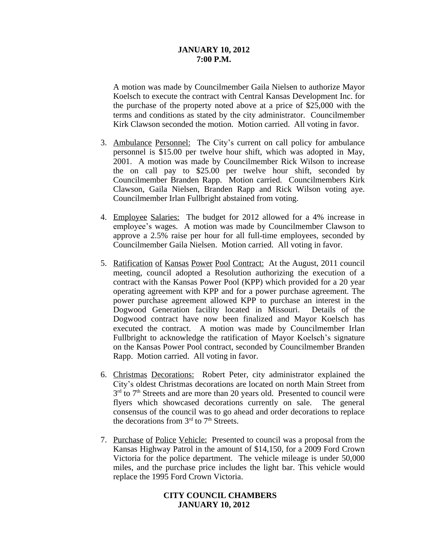#### **JANUARY 10, 2012 7:00 P.M.**

A motion was made by Councilmember Gaila Nielsen to authorize Mayor Koelsch to execute the contract with Central Kansas Development Inc. for the purchase of the property noted above at a price of \$25,000 with the terms and conditions as stated by the city administrator. Councilmember Kirk Clawson seconded the motion. Motion carried. All voting in favor.

- 3. Ambulance Personnel: The City's current on call policy for ambulance personnel is \$15.00 per twelve hour shift, which was adopted in May, 2001. A motion was made by Councilmember Rick Wilson to increase the on call pay to \$25.00 per twelve hour shift, seconded by Councilmember Branden Rapp. Motion carried. Councilmembers Kirk Clawson, Gaila Nielsen, Branden Rapp and Rick Wilson voting aye. Councilmember Irlan Fullbright abstained from voting.
- 4. Employee Salaries: The budget for 2012 allowed for a 4% increase in employee's wages. A motion was made by Councilmember Clawson to approve a 2.5% raise per hour for all full-time employees, seconded by Councilmember Gaila Nielsen. Motion carried. All voting in favor.
- 5. Ratification of Kansas Power Pool Contract: At the August, 2011 council meeting, council adopted a Resolution authorizing the execution of a contract with the Kansas Power Pool (KPP) which provided for a 20 year operating agreement with KPP and for a power purchase agreement. The power purchase agreement allowed KPP to purchase an interest in the Dogwood Generation facility located in Missouri. Details of the Dogwood contract have now been finalized and Mayor Koelsch has executed the contract. A motion was made by Councilmember Irlan Fullbright to acknowledge the ratification of Mayor Koelsch's signature on the Kansas Power Pool contract, seconded by Councilmember Branden Rapp. Motion carried. All voting in favor.
- 6. Christmas Decorations: Robert Peter, city administrator explained the City's oldest Christmas decorations are located on north Main Street from 3<sup>rd</sup> to 7<sup>th</sup> Streets and are more than 20 years old. Presented to council were flyers which showcased decorations currently on sale. The general consensus of the council was to go ahead and order decorations to replace the decorations from  $3<sup>rd</sup>$  to  $7<sup>th</sup>$  Streets.
- 7. Purchase of Police Vehicle: Presented to council was a proposal from the Kansas Highway Patrol in the amount of \$14,150, for a 2009 Ford Crown Victoria for the police department. The vehicle mileage is under 50,000 miles, and the purchase price includes the light bar. This vehicle would replace the 1995 Ford Crown Victoria.

### **CITY COUNCIL CHAMBERS JANUARY 10, 2012**